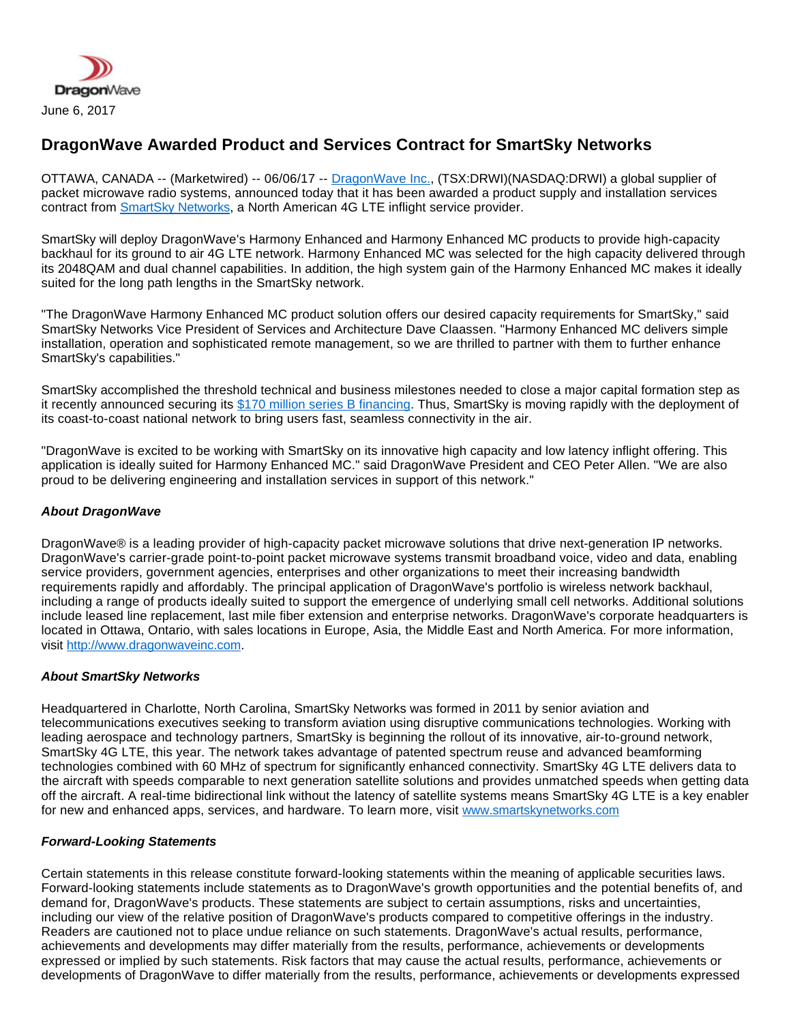

## **DragonWave Awarded Product and Services Contract for SmartSky Networks**

OTTAWA, CANADA -- (Marketwired) -- 06/06/17 -- [DragonWave Inc.](http://www.dragonwaveinc.com/), (TSX:DRWI)(NASDAQ:DRWI) a global supplier of packet microwave radio systems, announced today that it has been awarded a product supply and installation services contract from [SmartSky Networks](http://smartskynetworks.com/), a North American 4G LTE inflight service provider.

SmartSky will deploy DragonWave's Harmony Enhanced and Harmony Enhanced MC products to provide high-capacity backhaul for its ground to air 4G LTE network. Harmony Enhanced MC was selected for the high capacity delivered through its 2048QAM and dual channel capabilities. In addition, the high system gain of the Harmony Enhanced MC makes it ideally suited for the long path lengths in the SmartSky network.

"The DragonWave Harmony Enhanced MC product solution offers our desired capacity requirements for SmartSky," said SmartSky Networks Vice President of Services and Architecture Dave Claassen. "Harmony Enhanced MC delivers simple installation, operation and sophisticated remote management, so we are thrilled to partner with them to further enhance SmartSky's capabilities."

SmartSky accomplished the threshold technical and business milestones needed to close a major capital formation step as it recently announced securing its [\\$170 million series B financing.](http://smartskynetworks.com/smartsky-networks-secures-170-million-series-b-financing/) Thus, SmartSky is moving rapidly with the deployment of its coast-to-coast national network to bring users fast, seamless connectivity in the air.

"DragonWave is excited to be working with SmartSky on its innovative high capacity and low latency inflight offering. This application is ideally suited for Harmony Enhanced MC." said DragonWave President and CEO Peter Allen. "We are also proud to be delivering engineering and installation services in support of this network."

## **About DragonWave**

DragonWave® is a leading provider of high-capacity packet microwave solutions that drive next-generation IP networks. DragonWave's carrier-grade point-to-point packet microwave systems transmit broadband voice, video and data, enabling service providers, government agencies, enterprises and other organizations to meet their increasing bandwidth requirements rapidly and affordably. The principal application of DragonWave's portfolio is wireless network backhaul, including a range of products ideally suited to support the emergence of underlying small cell networks. Additional solutions include leased line replacement, last mile fiber extension and enterprise networks. DragonWave's corporate headquarters is located in Ottawa, Ontario, with sales locations in Europe, Asia, the Middle East and North America. For more information, visit [http://www.dragonwaveinc.com.](http://www.dragonwaveinc.com/)

## **About SmartSky Networks**

Headquartered in Charlotte, North Carolina, SmartSky Networks was formed in 2011 by senior aviation and telecommunications executives seeking to transform aviation using disruptive communications technologies. Working with leading aerospace and technology partners, SmartSky is beginning the rollout of its innovative, air-to-ground network, SmartSky 4G LTE, this year. The network takes advantage of patented spectrum reuse and advanced beamforming technologies combined with 60 MHz of spectrum for significantly enhanced connectivity. SmartSky 4G LTE delivers data to the aircraft with speeds comparable to next generation satellite solutions and provides unmatched speeds when getting data off the aircraft. A real-time bidirectional link without the latency of satellite systems means SmartSky 4G LTE is a key enabler for new and enhanced apps, services, and hardware. To learn more, visit [www.smartskynetworks.com](http://www.smartskynetworks.com/)

## **Forward-Looking Statements**

Certain statements in this release constitute forward-looking statements within the meaning of applicable securities laws. Forward-looking statements include statements as to DragonWave's growth opportunities and the potential benefits of, and demand for, DragonWave's products. These statements are subject to certain assumptions, risks and uncertainties, including our view of the relative position of DragonWave's products compared to competitive offerings in the industry. Readers are cautioned not to place undue reliance on such statements. DragonWave's actual results, performance, achievements and developments may differ materially from the results, performance, achievements or developments expressed or implied by such statements. Risk factors that may cause the actual results, performance, achievements or developments of DragonWave to differ materially from the results, performance, achievements or developments expressed